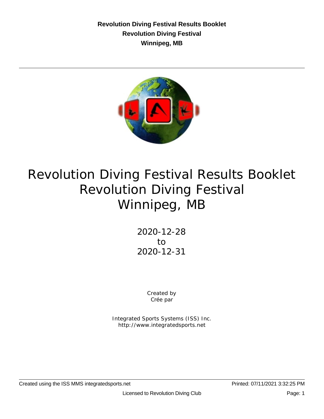**Revolution Diving Festival Results Booklet Revolution Diving Festival Winnipeg, MB**



# Revolution Diving Festival Results Booklet Revolution Diving Festival Winnipeg, MB

2020-12-28 to 2020-12-31

> Created by Crée par

Integrated Sports Systems (ISS) Inc. http://www.integratedsports.net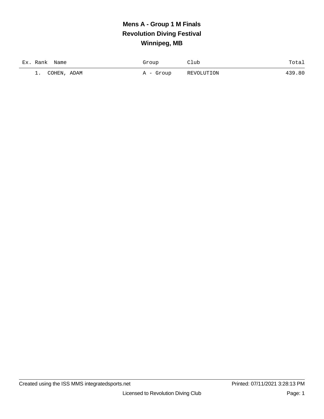# **Mens A - Group 1 M Finals Revolution Diving Festival Winnipeg, MB**

| Ex. Rank<br>Name         | Group     | Club       | Total  |
|--------------------------|-----------|------------|--------|
| COHEN, ADAM<br>$\perp$ . | A - Group | REVOLUTION | 439.80 |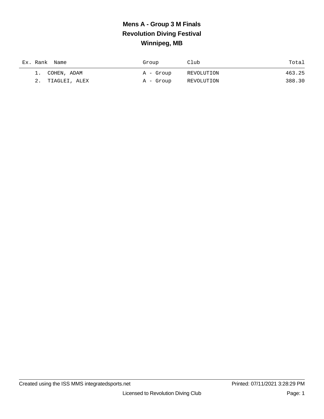# **Mens A - Group 3 M Finals Revolution Diving Festival Winnipeg, MB**

| Ex. Rank Name |                  | Group     | Club       | Total  |
|---------------|------------------|-----------|------------|--------|
|               | 1. COHEN, ADAM   | A - Group | REVOLUTION | 463.25 |
|               | 2. TIAGLEI, ALEX | A - Group | REVOLUTION | 388.30 |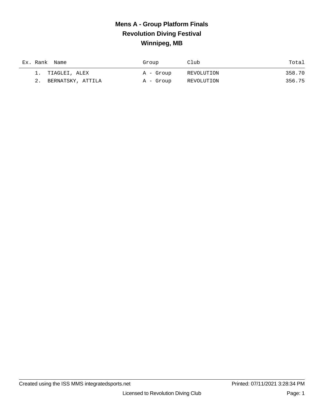## **Mens A - Group Platform Finals Revolution Diving Festival Winnipeg, MB**

| Ex. Rank Name     | Group     | Club       | Total  |
|-------------------|-----------|------------|--------|
| 1. TIAGLEI, ALEX  | A - Group | REVOLUTION | 358.70 |
| BERNATSKY, ATTILA | A - Group | REVOLUTION | 356.75 |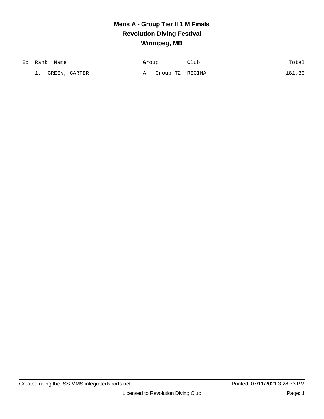#### **Mens A - Group Tier II 1 M Finals Revolution Diving Festival Winnipeg, MB**

| Ex. Rank<br>Name               | Froup               | .⊥ub |     |
|--------------------------------|---------------------|------|-----|
| CARTER<br>GREEN.<br><u>.</u> . | A - Group T2 REGINA |      | -91 |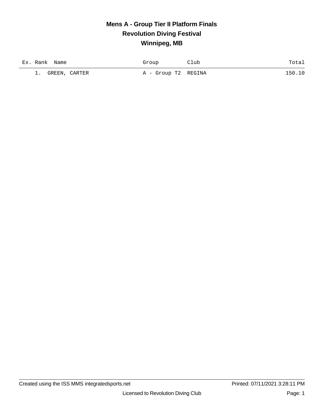## **Mens A - Group Tier II Platform Finals Revolution Diving Festival Winnipeg, MB**

| Ex. Rank | Name          | Group               | 21ub | Totai  |
|----------|---------------|---------------------|------|--------|
| <b>.</b> | GREEN, CARTER | A - Group T2 REGINA |      | 150.10 |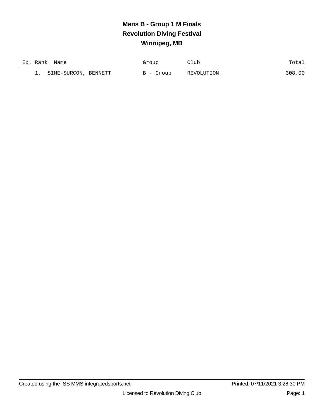# **Mens B - Group 1 M Finals Revolution Diving Festival Winnipeg, MB**

| Ex. Rank | Name                 | Group     | Club       | Totai  |
|----------|----------------------|-----------|------------|--------|
|          | SIME-SURCON, BENNETT | B - Group | REVOLUTION | 308.00 |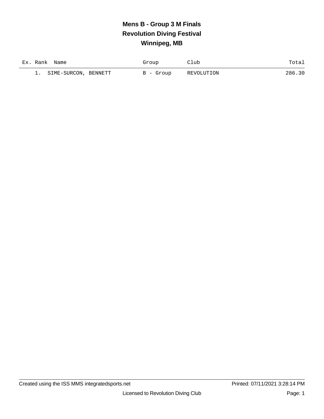# **Mens B - Group 3 M Finals Revolution Diving Festival Winnipeg, MB**

| Ex. Rank | Name                 | Group     | Club       | Totai  |
|----------|----------------------|-----------|------------|--------|
|          | SIME-SURCON, BENNETT | B - Group | REVOLUTION | 286.30 |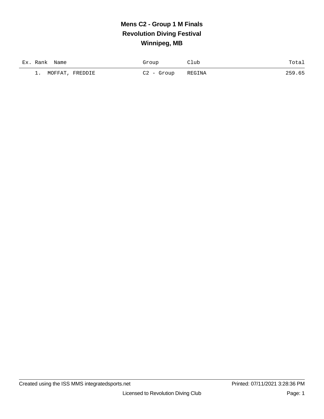# **Mens C2 - Group 1 M Finals Revolution Diving Festival Winnipeg, MB**

| Ex. Rank<br>Name         | Group        | Club   | Total  |
|--------------------------|--------------|--------|--------|
| MOFFAT,<br>FREDDIE<br>-- | $C2 -$ Group | REGINA | 259.65 |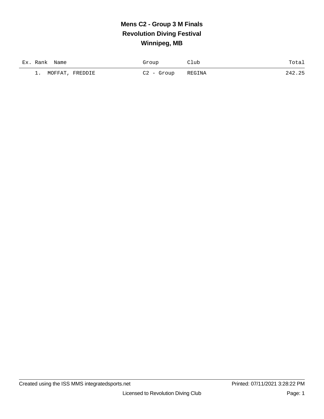# **Mens C2 - Group 3 M Finals Revolution Diving Festival Winnipeg, MB**

| Ex. Rank<br>Name         | Group        | Club   | Total  |
|--------------------------|--------------|--------|--------|
| MOFFAT,<br>FREDDIE<br>-- | $C2 -$ Group | REGINA | 242.25 |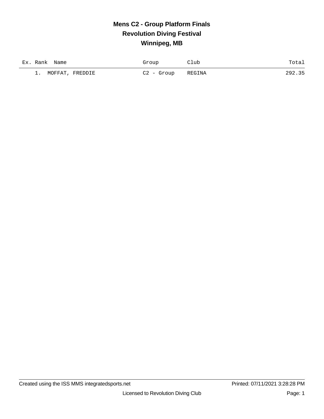## **Mens C2 - Group Platform Finals Revolution Diving Festival Winnipeg, MB**

| Ex. Rank<br>Name               | Group        | Club   | Total  |
|--------------------------------|--------------|--------|--------|
| MOFFAT,<br>FREDDIE<br><b>.</b> | $C2 -$ Group | REGINA | 292.35 |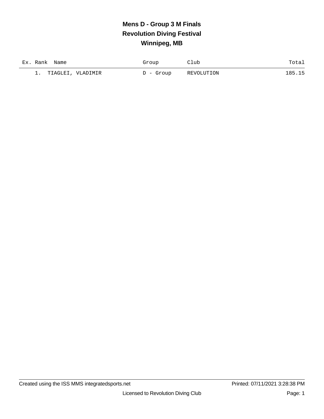# **Mens D - Group 3 M Finals Revolution Diving Festival Winnipeg, MB**

| Ex. Rank<br>Name               | Group       | Club       | Totai  |
|--------------------------------|-------------|------------|--------|
| TIAGLEI, VLADIMIR<br>$\perp$ . | $D -$ Group | REVOLUTION | 185.15 |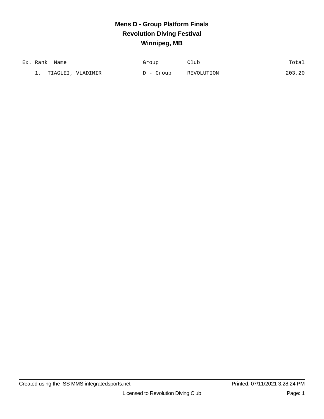## **Mens D - Group Platform Finals Revolution Diving Festival Winnipeg, MB**

| Ex. Rank<br>Name               | Group       | Club       | Totai  |
|--------------------------------|-------------|------------|--------|
| TIAGLEI, VLADIMIR<br>$\perp$ . | $D -$ Group | REVOLUTION | 203.20 |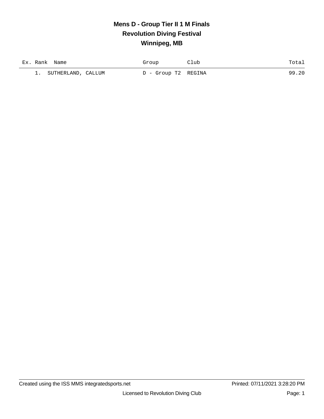#### **Mens D - Group Tier II 1 M Finals Revolution Diving Festival Winnipeg, MB**

| Ex. Rank | Name               | Group               | 21ub | Total |
|----------|--------------------|---------------------|------|-------|
| --       | SUTHERLAND, CALLUM | D - Group T2 REGINA |      | 99.20 |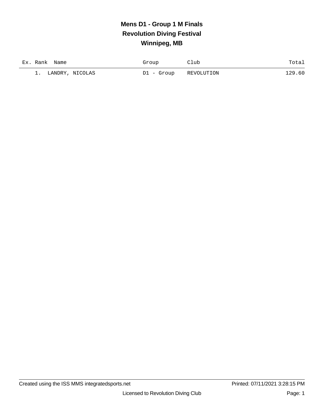# **Mens D1 - Group 1 M Finals Revolution Diving Festival Winnipeg, MB**

| Ex. Rank Name                | Group      | Club       | Totai  |
|------------------------------|------------|------------|--------|
| LANDRY, NICOLAS<br><b>1.</b> | D1 - Group | REVOLUTION | 129.60 |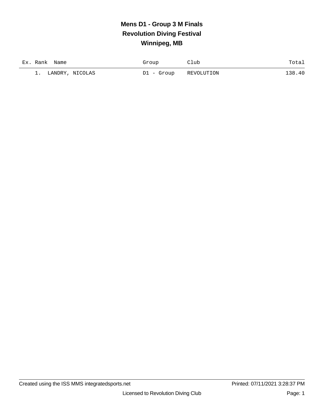# **Mens D1 - Group 3 M Finals Revolution Diving Festival Winnipeg, MB**

| Ex. Rank<br>Name             | Group      | Club       | Totai  |
|------------------------------|------------|------------|--------|
| LANDRY, NICOLAS<br>$\perp$ . | D1 - Group | REVOLUTION | 138.40 |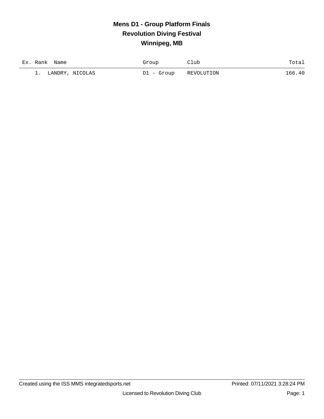## **Mens D1 - Group Platform Finals Revolution Diving Festival Winnipeg, MB**

| Ex. Rank<br>Name      | Group      | Club       | Totai  |
|-----------------------|------------|------------|--------|
| LANDRY, NICOLAS<br>1. | D1 - Group | REVOLUTION | 166.40 |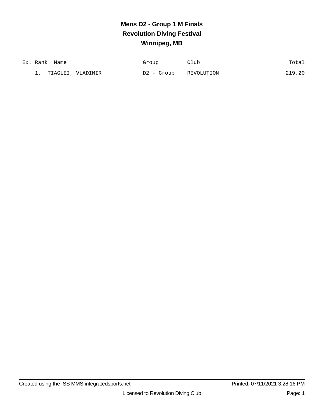# **Mens D2 - Group 1 M Finals Revolution Diving Festival Winnipeg, MB**

| Ex. Rank<br>Name               | Group      | Club       | Totai  |
|--------------------------------|------------|------------|--------|
| TIAGLEI, VLADIMIR<br>$\perp$ . | D2 - Group | REVOLUTION | 219.20 |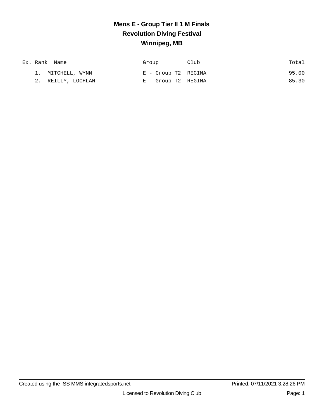#### **Mens E - Group Tier II 1 M Finals Revolution Diving Festival Winnipeg, MB**

|  | Ex. Rank Name      | Group               | Club | Total |
|--|--------------------|---------------------|------|-------|
|  | 1. MITCHELL, WYNN  | E - Group T2 REGINA |      | 95.00 |
|  | 2. REILLY, LOCHLAN | E - Group T2 REGINA |      | 85.30 |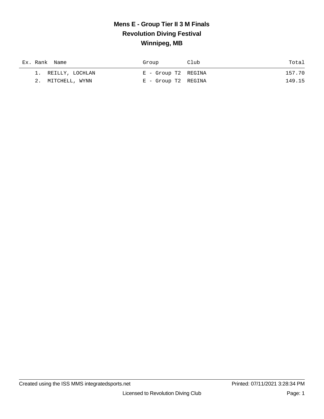#### **Mens E - Group Tier II 3 M Finals Revolution Diving Festival Winnipeg, MB**

| Ex. Rank Name      | Group               | Club | Total  |
|--------------------|---------------------|------|--------|
| 1. REILLY, LOCHLAN | E - Group T2 REGINA |      | 157.70 |
| 2. MITCHELL, WYNN  | E - Group T2 REGINA |      | 149.15 |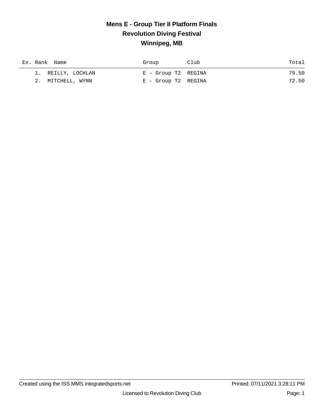#### **Mens E - Group Tier II Platform Finals Revolution Diving Festival Winnipeg, MB**

| Ex. Rank Name      | Group               | Club | Total |
|--------------------|---------------------|------|-------|
| 1. REILLY, LOCHLAN | E - Group T2 REGINA |      | 79.50 |
| 2. MITCHELL, WYNN  | E - Group T2 REGINA |      | 72.50 |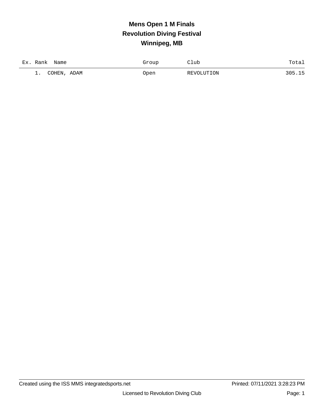# **Mens Open 1 M Finals Revolution Diving Festival Winnipeg, MB**

| $Ex$ .<br>Rank<br>Name      | Froup<br>⊾ت | Club       | $T0 + 2$<br>⊥∪la⊥ |
|-----------------------------|-------------|------------|-------------------|
| COHEN<br>ADAM<br><u>.</u> . | Open        | REVOLUTION | つのに               |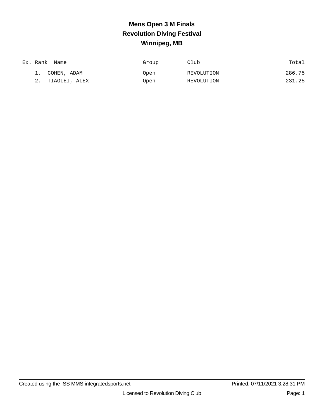# **Mens Open 3 M Finals Revolution Diving Festival Winnipeg, MB**

| Ex. Rank Name | Group | Club       | Total  |
|---------------|-------|------------|--------|
| COHEN, ADAM   | Open  | REVOLUTION | 286.75 |
| TIAGLEI, ALEX | Open  | REVOLUTION | 231.25 |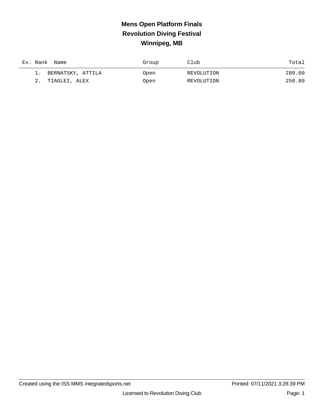# **Mens Open Platform Finals Revolution Diving Festival Winnipeg, MB**

|    | Ex. Rank Name     | Group | Club       | Total  |
|----|-------------------|-------|------------|--------|
|    | BERNATSKY, ATTILA | Open  | REVOLUTION | 289.60 |
| 2. | TIAGLEI, ALEX     | Open  | REVOLUTION | 250.80 |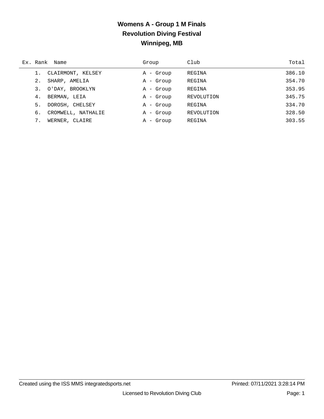#### **Womens A - Group 1 M Finals Revolution Diving Festival Winnipeg, MB**

|    | Ex. Rank Name      | Group        | Club       | Total  |
|----|--------------------|--------------|------------|--------|
|    | CLAIRMONT, KELSEY  | A - Group    | REGINA     | 386.10 |
| 2. | SHARP, AMELIA      | A - Group    | REGINA     | 354.70 |
| 3. | O'DAY, BROOKLYN    | A - Group    | REGINA     | 353.95 |
| 4. | BERMAN, LEIA       | A - Group    | REVOLUTION | 345.75 |
| 5. | DOROSH, CHELSEY    | A - Group    | REGINA     | 334.70 |
| б. | CROMWELL, NATHALIE | A - Group    | REVOLUTION | 328.50 |
|    | WERNER, CLAIRE     | - Group<br>A | REGINA     | 303.55 |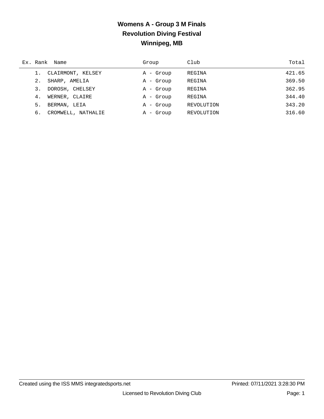## **Womens A - Group 3 M Finals Revolution Diving Festival Winnipeg, MB**

|    | Ex. Rank Name      | Group     | Club       | Total  |
|----|--------------------|-----------|------------|--------|
|    | CLAIRMONT, KELSEY  | A - Group | REGINA     | 421.65 |
| 2. | SHARP, AMELIA      | A - Group | REGINA     | 369.50 |
| 3. | DOROSH, CHELSEY    | A - Group | REGINA     | 362.95 |
| 4. | WERNER, CLAIRE     | A - Group | REGINA     | 344.40 |
| 5. | BERMAN, LEIA       | A - Group | REVOLUTION | 343.20 |
| б. | CROMWELL, NATHALIE | A - Group | REVOLUTION | 316.60 |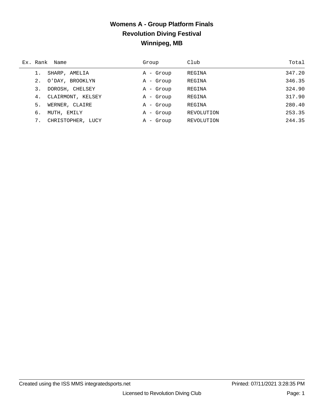#### **Womens A - Group Platform Finals Revolution Diving Festival Winnipeg, MB**

|    | Ex. Rank Name     | Group                  | Club       | Total  |
|----|-------------------|------------------------|------------|--------|
|    | SHARP, AMELIA     | - Group<br>A           | REGINA     | 347.20 |
| 2. | O'DAY, BROOKLYN   | A - Group              | REGINA     | 346.35 |
| 3. | DOROSH, CHELSEY   | A - Group              | REGINA     | 324.90 |
| 4. | CLAIRMONT, KELSEY | A - Group              | REGINA     | 317.90 |
| 5. | WERNER, CLAIRE    | A - Group              | REGINA     | 280.40 |
| б. | MUTH, EMILY       | - Group<br>$\mathbb A$ | REVOLUTION | 253.35 |
| 7. | CHRISTOPHER, LUCY | - Group<br>А           | REVOLUTION | 244.35 |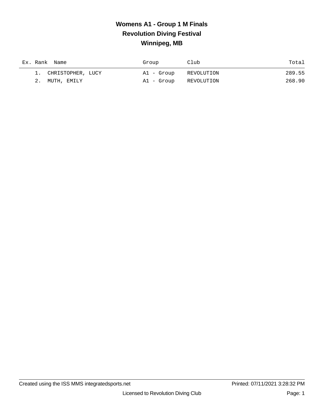## **Womens A1 - Group 1 M Finals Revolution Diving Festival Winnipeg, MB**

| Ex. Rank Name        | Group      | Club       | Total  |
|----------------------|------------|------------|--------|
| 1. CHRISTOPHER, LUCY | Al - Group | REVOLUTION | 289.55 |
| 2. MUTH, EMILY       | Al - Group | REVOLUTION | 268.90 |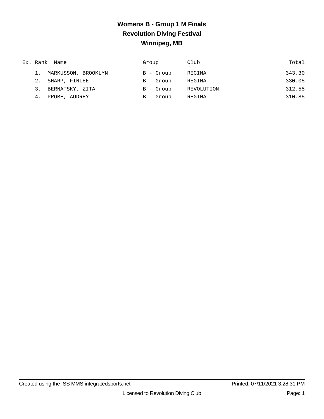## **Womens B - Group 1 M Finals Revolution Diving Festival Winnipeg, MB**

|    | Ex. Rank Name          | Group       | Club       | Total  |
|----|------------------------|-------------|------------|--------|
|    | 1. MARKUSSON, BROOKLYN | $B - Growp$ | REGINA     | 343.30 |
|    | 2. SHARP, FINLEE       | $B - Growp$ | REGINA     | 330.05 |
| 3. | BERNATSKY, ZITA        | $B - Growp$ | REVOLUTION | 312.55 |
| 4. | PROBE, AUDREY          | $B - Growp$ | REGINA     | 310.85 |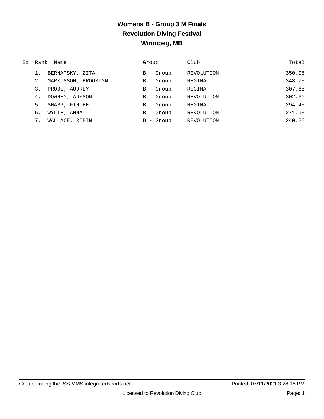#### **Womens B - Group 3 M Finals Revolution Diving Festival Winnipeg, MB**

|    | Ex. Rank Name       | Group        | Club       | Total  |
|----|---------------------|--------------|------------|--------|
|    | BERNATSKY, ZITA     | B - Group    | REVOLUTION | 350.05 |
| 2. | MARKUSSON, BROOKLYN | B - Group    | REGINA     | 348.75 |
| 3. | PROBE, AUDREY       | - Group<br>B | REGINA     | 307.65 |
| 4. | DOWNEY, ADYSON      | - Group<br>B | REVOLUTION | 302.60 |
| 5. | SHARP, FINLEE       | $B -$ Group  | REGINA     | 294.45 |
| б. | WYLIE, ANNA         | - Group<br>В | REVOLUTION | 271.95 |
| 7. | WALLACE, ROBIN      | - Group<br>в | REVOLUTION | 240.20 |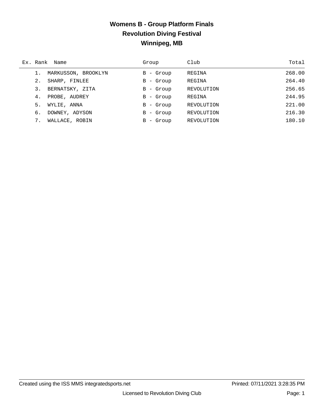#### **Womens B - Group Platform Finals Revolution Diving Festival Winnipeg, MB**

|    | Ex. Rank Name       | Group                   | Club       | Total  |
|----|---------------------|-------------------------|------------|--------|
|    | MARKUSSON, BROOKLYN | $B -$ Group             | REGINA     | 268.00 |
| 2. | SHARP, FINLEE       | - Group<br>B            | REGINA     | 264.40 |
| 3. | BERNATSKY, ZITA     | $B - Group$             | REVOLUTION | 256.65 |
| 4. | PROBE, AUDREY       | - Group<br>B            | REGINA     | 244.95 |
| 5. | WYLIE, ANNA         | - Group<br>B            | REVOLUTION | 221.00 |
| 6. | DOWNEY, ADYSON      | - Group<br>$\mathbf{B}$ | REVOLUTION | 216.30 |
|    | WALLACE, ROBIN      | - Group<br>B.           | REVOLUTION | 180.10 |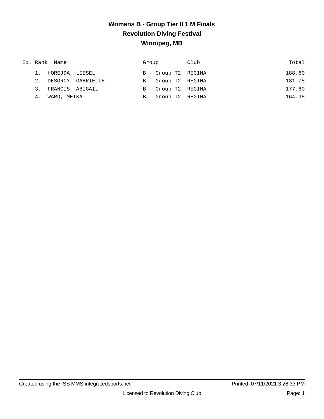#### **Womens B - Group Tier II 1 M Finals Revolution Diving Festival Winnipeg, MB**

| Ex. Rank Name         | Group               | Club | Total  |
|-----------------------|---------------------|------|--------|
| 1. HOREJDA, LIESEL    | B - Group T2 REGINA |      | 188.60 |
| 2. DESORCY, GABRIELLE | B - Group T2 REGINA |      | 181.75 |
| 3. FRANCIS, ABIGAIL   | B - Group T2 REGINA |      | 177.60 |
| WARD, MEIKA<br>4.     | B - Group T2 REGINA |      | 164.95 |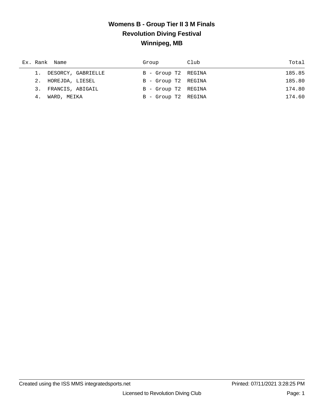#### **Womens B - Group Tier II 3 M Finals Revolution Diving Festival Winnipeg, MB**

|    | Ex. Rank Name         | Group               | Club | Total  |
|----|-----------------------|---------------------|------|--------|
|    | 1. DESORCY, GABRIELLE | B - Group T2 REGINA |      | 185.85 |
|    | 2. HOREJDA, LIESEL    | B - Group T2 REGINA |      | 185.80 |
|    | 3. FRANCIS, ABIGAIL   | B - Group T2 REGINA |      | 174.80 |
| 4. | WARD, MEIKA           | B - Group T2 REGINA |      | 174.60 |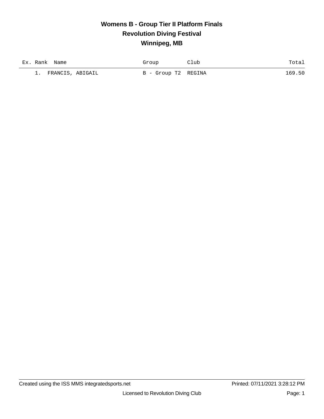#### **Womens B - Group Tier II Platform Finals Revolution Diving Festival Winnipeg, MB**

| Ex. Rank Name |                  | Group               | ~lub | Totai  |
|---------------|------------------|---------------------|------|--------|
| <b>.</b>      | FRANCIS, ABIGAIL | B - Group T2 REGINA |      | 169.50 |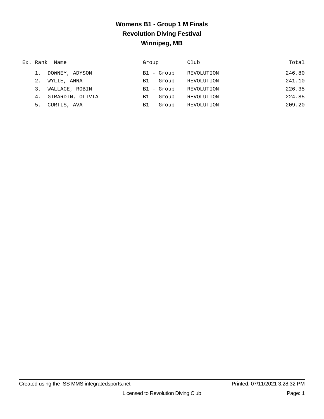## **Womens B1 - Group 1 M Finals Revolution Diving Festival Winnipeg, MB**

| Ex. Rank Name |                  | Group        | Club       | Total  |
|---------------|------------------|--------------|------------|--------|
|               | DOWNEY, ADYSON   | $B1 -$ Group | REVOLUTION | 246.80 |
| 2.            | WYLIE, ANNA      | $B1 -$ Group | REVOLUTION | 241.10 |
| 3.            | WALLACE, ROBIN   | B1 - Group   | REVOLUTION | 226.35 |
| 4.            | GIRARDIN, OLIVIA | B1 - Group   | REVOLUTION | 224.85 |
| 5.            | CURTIS, AVA      | $B1 -$ Group | REVOLUTION | 209.20 |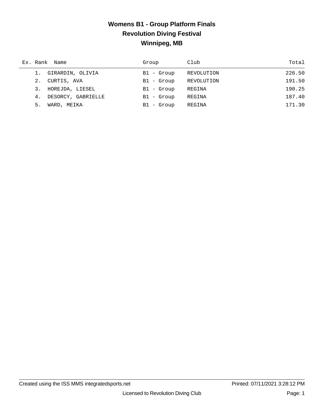#### **Womens B1 - Group Platform Finals Revolution Diving Festival Winnipeg, MB**

|    | Ex. Rank Name       | Group        | Club       | Total  |
|----|---------------------|--------------|------------|--------|
|    | 1. GIRARDIN, OLIVIA | $B1 -$ Group | REVOLUTION | 226.50 |
|    | 2. CURTIS, AVA      | $B1 -$ Group | REVOLUTION | 191.50 |
| 3. | HOREJDA, LIESEL     | B1 - Group   | REGINA     | 190.25 |
| 4. | DESORCY, GABRIELLE  | B1 - Group   | REGINA     | 187.40 |
| 5. | WARD, MEIKA         | $B1 -$ Group | REGINA     | 171.30 |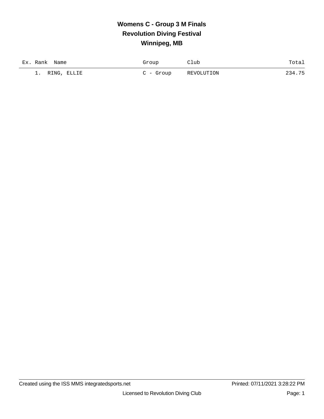## **Womens C - Group 3 M Finals Revolution Diving Festival Winnipeg, MB**

| Ex. Rank<br>Name         | Group      | Club       | Total  |
|--------------------------|------------|------------|--------|
| RING, ELLIE<br><b>1.</b> | $C - Grow$ | REVOLUTION | 234.75 |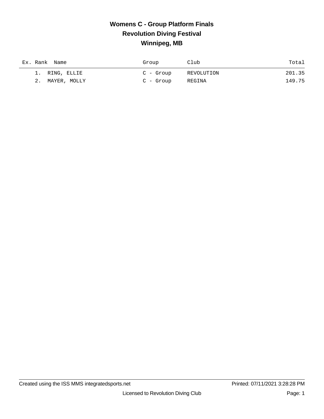#### **Womens C - Group Platform Finals Revolution Diving Festival Winnipeg, MB**

| Ex. Rank Name   | Group     | Club       | Total  |
|-----------------|-----------|------------|--------|
| 1. RING, ELLIE  | C - Group | REVOLUTION | 201.35 |
| 2. MAYER, MOLLY | C - Group | REGINA     | 149.75 |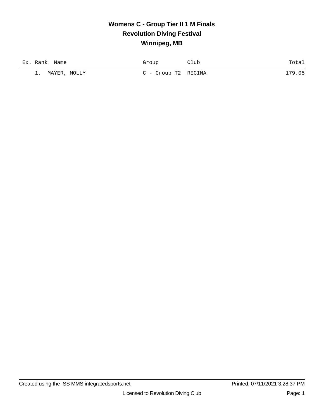#### **Womens C - Group Tier II 1 M Finals Revolution Diving Festival Winnipeg, MB**

| Ex. Rank<br>Name        | Group               | Club | Totai  |
|-------------------------|---------------------|------|--------|
| , MOLLY<br>MAYER,<br>1. | C - Group T2 REGINA |      | 179.05 |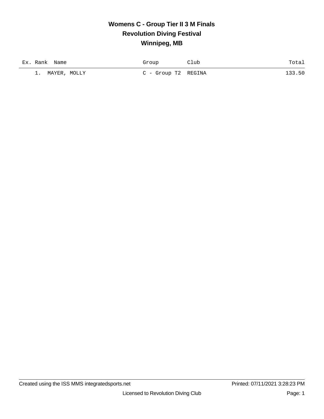#### **Womens C - Group Tier II 3 M Finals Revolution Diving Festival Winnipeg, MB**

| Ex. Rank<br>Name        | Group               | Club | Total  |
|-------------------------|---------------------|------|--------|
| , MOLLY<br>MAYER.<br>1. | C - Group T2 REGINA |      | 133.50 |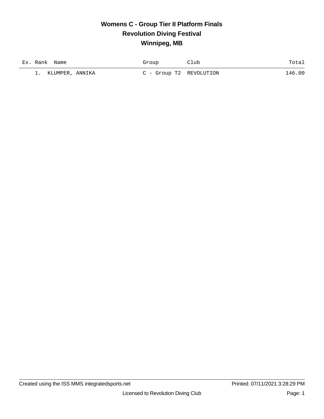#### **Womens C - Group Tier II Platform Finals Revolution Diving Festival Winnipeg, MB**

| Ex. Rank Name         | Group                   | 21ub | Total  |
|-----------------------|-------------------------|------|--------|
| KLUMPER, ANNIKA<br>1. | C - Group T2 REVOLUTION |      | 146.00 |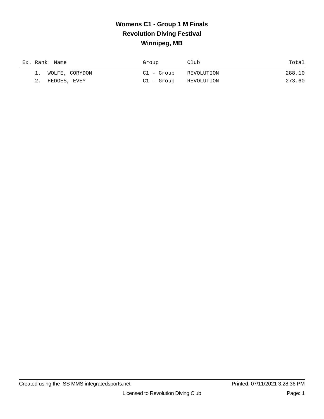## **Womens C1 - Group 1 M Finals Revolution Diving Festival Winnipeg, MB**

| Ex. Rank Name |                   | Group      | Club       | Total  |
|---------------|-------------------|------------|------------|--------|
|               | 1. WOLFE, CORYDON | Cl - Group | REVOLUTION | 288.10 |
| 2.            | HEDGES, EVEY      | Cl - Group | REVOLUTION | 273.60 |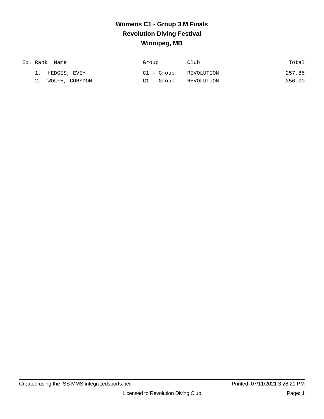## **Womens C1 - Group 3 M Finals Revolution Diving Festival Winnipeg, MB**

| Ex. Rank Name     | Group      | Club       | Total  |
|-------------------|------------|------------|--------|
| 1. HEDGES, EVEY   | Cl - Group | REVOLUTION | 257.85 |
| 2. WOLFE, CORYDON | Cl - Group | REVOLUTION | 256.00 |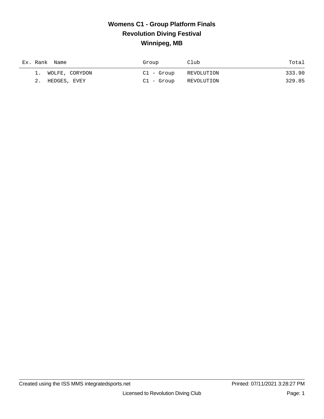## **Womens C1 - Group Platform Finals Revolution Diving Festival Winnipeg, MB**

| Ex. Rank Name     | Group      | Club       | Total  |
|-------------------|------------|------------|--------|
| 1. WOLFE, CORYDON | Cl - Group | REVOLUTION | 333.90 |
| 2. HEDGES, EVEY   | Cl - Group | REVOLUTION | 329.85 |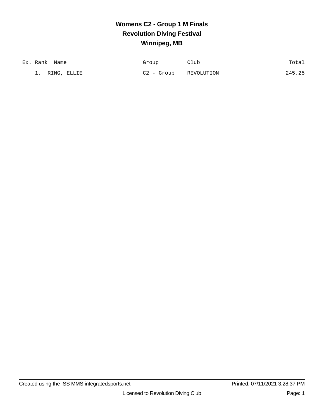## **Womens C2 - Group 1 M Finals Revolution Diving Festival Winnipeg, MB**

| Ex. Rank<br>Name  | Group      | Club       | Total  |
|-------------------|------------|------------|--------|
| RING, ELLIE<br>1. | C2 - Group | REVOLUTION | 245.25 |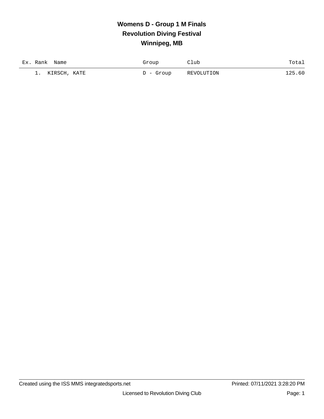## **Womens D - Group 1 M Finals Revolution Diving Festival Winnipeg, MB**

| Ex. Rank<br>Name   | Group     | Club       | Totai  |
|--------------------|-----------|------------|--------|
| KIRSCH, KATE<br>-- | D - Group | REVOLUTION | 125.60 |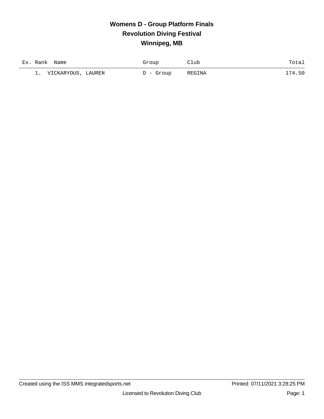## **Womens D - Group Platform Finals Revolution Diving Festival Winnipeg, MB**

| Ex. Rank<br>Name               | Group     | lub    | Total  |
|--------------------------------|-----------|--------|--------|
| VICKARYOUS, LAUREN<br><b>.</b> | D - Group | REGINA | 174.50 |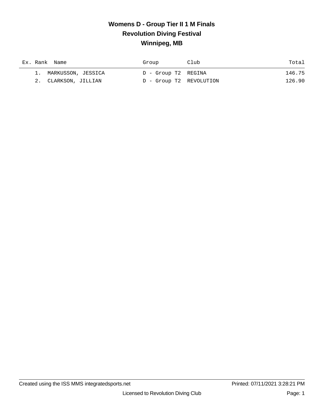#### **Womens D - Group Tier II 1 M Finals Revolution Diving Festival Winnipeg, MB**

|  | Ex. Rank Name         | Group |                     | Club                    | Total  |
|--|-----------------------|-------|---------------------|-------------------------|--------|
|  | 1. MARKUSSON, JESSICA |       | D - Group T2 REGINA |                         | 146.75 |
|  | 2. CLARKSON, JILLIAN  |       |                     | D - Group T2 REVOLUTION | 126.90 |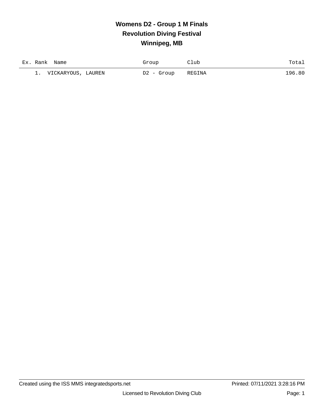## **Womens D2 - Group 1 M Finals Revolution Diving Festival Winnipeg, MB**

| Ex. Rank | Name                  | Group         | lub    | Total      |
|----------|-----------------------|---------------|--------|------------|
| --       | VICKARYOUS,<br>LAUREN | D2 -<br>Group | REGINA | . 80<br>96 |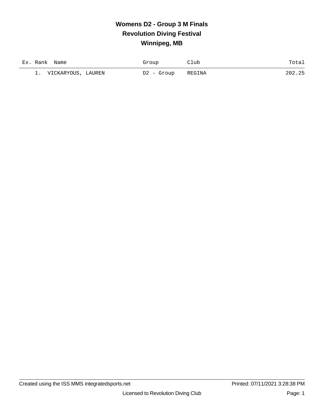## **Womens D2 - Group 3 M Finals Revolution Diving Festival Winnipeg, MB**

| Ex. Rank<br>Name            | Group         | lub    | Total |
|-----------------------------|---------------|--------|-------|
| VICKARYOUS,<br>LAUREN<br>-- | D2 -<br>Group | REGINA | つハつ   |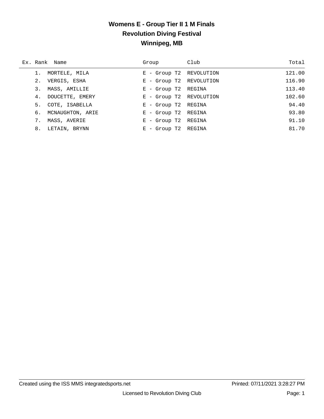#### **Womens E - Group Tier II 1 M Finals Revolution Diving Festival Winnipeg, MB**

|    | Ex. Rank Name    | Group                   | Club | Total  |
|----|------------------|-------------------------|------|--------|
|    | MORTELE, MILA    | E - Group T2 REVOLUTION |      | 121.00 |
| 2. | VERGIS, ESHA     | E - Group T2 REVOLUTION |      | 116.90 |
| 3. | MASS, AMILLIE    | E - Group T2 REGINA     |      | 113.40 |
| 4. | DOUCETTE, EMERY  | E - Group T2 REVOLUTION |      | 102.60 |
| 5. | COTE, ISABELLA   | E - Group T2 REGINA     |      | 94.40  |
| б. | MCNAUGHTON, ARIE | E - Group T2 REGINA     |      | 93.80  |
| 7. | MASS, AVERIE     | - Group T2 REGINA<br>Е  |      | 91.10  |
| 8. | LETAIN, BRYNN    | - Group T2 REGINA<br>Е. |      | 81.70  |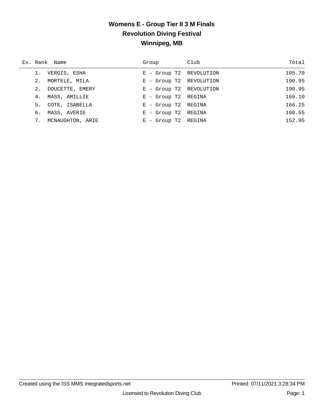#### **Womens E - Group Tier II 3 M Finals Revolution Diving Festival Winnipeg, MB**

|    | Ex. Rank Name     | Group                   | Club   | Total  |
|----|-------------------|-------------------------|--------|--------|
|    | VERGIS, ESHA      | E - Group T2 REVOLUTION |        | 195.70 |
|    | 2. MORTELE, MILA  | E - Group T2 REVOLUTION |        | 190.95 |
| 2. | DOUCETTE, EMERY   | E - Group T2 REVOLUTION |        | 190.95 |
| 4. | MASS, AMILLIE     | E - Group T2 REGINA     |        | 169.10 |
|    | 5. COTE, ISABELLA | E - Group T2 REGINA     |        | 166.25 |
| б. | MASS, AVERIE      | E - Group T2 REGINA     |        | 160.55 |
| 7. | MCNAUGHTON, ARIE  | $E$ - Group T2          | REGINA | 152.95 |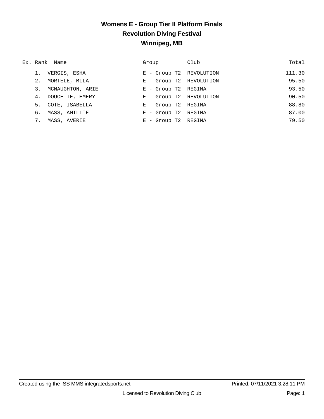#### **Womens E - Group Tier II Platform Finals Revolution Diving Festival Winnipeg, MB**

| Ex. Rank Name       | Group                   | Club | Total  |
|---------------------|-------------------------|------|--------|
| 1. VERGIS, ESHA     | E - Group T2 REVOLUTION |      | 111.30 |
| 2. MORTELE, MILA    | E - Group T2 REVOLUTION |      | 95.50  |
| 3. MCNAUGHTON, ARIE | E - Group T2 REGINA     |      | 93.50  |
| 4. DOUCETTE, EMERY  | E - Group T2 REVOLUTION |      | 90.50  |
| 5. COTE, ISABELLA   | E - Group T2 REGINA     |      | 88.80  |
| 6. MASS, AMILLIE    | E - Group T2 REGINA     |      | 87.00  |
| 7. MASS, AVERIE     | E - Group T2 REGINA     |      | 79.50  |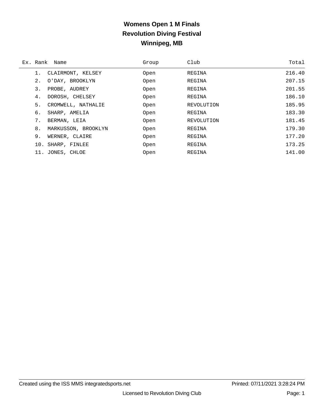## **Womens Open 1 M Finals Revolution Diving Festival Winnipeg, MB**

|     | Ex. Rank Name       | Group | Club       | Total  |
|-----|---------------------|-------|------------|--------|
| 1.  | CLAIRMONT, KELSEY   | Open  | REGINA     | 216.40 |
| 2.  | O'DAY, BROOKLYN     | Open  | REGINA     | 207.15 |
| 3.  | PROBE, AUDREY       | Open  | REGINA     | 201.55 |
| 4.  | DOROSH, CHELSEY     | Open  | REGINA     | 186.10 |
| 5.  | CROMWELL, NATHALIE  | Open  | REVOLUTION | 185.95 |
| б.  | SHARP, AMELIA       | Open  | REGINA     | 183.30 |
| 7.  | BERMAN, LEIA        | Open  | REVOLUTION | 181.45 |
| 8.  | MARKUSSON, BROOKLYN | Open  | REGINA     | 179.30 |
| 9.  | WERNER, CLAIRE      | Open  | REGINA     | 177.20 |
| 10. | SHARP, FINLEE       | Open  | REGINA     | 173.25 |
| 11. | JONES, CHLOE        | Open  | REGINA     | 141.00 |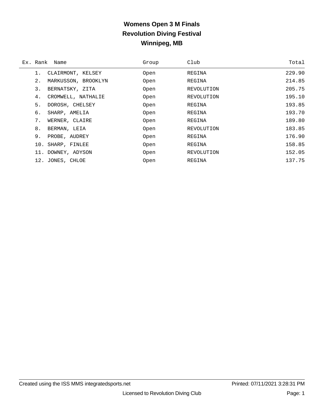## **Womens Open 3 M Finals Revolution Diving Festival Winnipeg, MB**

| Ex. Rank | Name                | Group | Club       | Total  |
|----------|---------------------|-------|------------|--------|
|          | CLAIRMONT, KELSEY   | Open  | REGINA     | 229.90 |
| $2$ .    | MARKUSSON, BROOKLYN | Open  | REGINA     | 214.85 |
| 3.       | BERNATSKY, ZITA     | Open  | REVOLUTION | 205.75 |
| 4.       | CROMWELL, NATHALIE  | Open  | REVOLUTION | 195.10 |
| 5.       | DOROSH, CHELSEY     | Open  | REGINA     | 193.85 |
| б.       | SHARP, AMELIA       | Open  | REGINA     | 193.70 |
| 7.       | WERNER, CLAIRE      | Open  | REGINA     | 189.80 |
| 8.       | BERMAN, LEIA        | Open  | REVOLUTION | 183.85 |
| 9.       | PROBE, AUDREY       | Open  | REGINA     | 176.90 |
| 10.      | SHARP, FINLEE       | Open  | REGINA     | 158.85 |
| 11.      | DOWNEY, ADYSON      | Open  | REVOLUTION | 152.05 |
| 12.      | JONES, CHLOE        | Open  | REGINA     | 137.75 |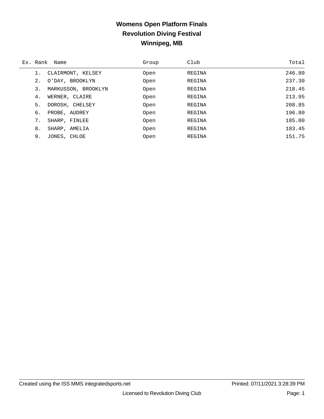## **Womens Open Platform Finals Revolution Diving Festival Winnipeg, MB**

| Ex. Rank | Name                | Group | Club   | Total  |
|----------|---------------------|-------|--------|--------|
|          | CLAIRMONT, KELSEY   | Open  | REGINA | 246.80 |
| $2$ .    | O'DAY, BROOKLYN     | Open  | REGINA | 237.30 |
| 3.       | MARKUSSON, BROOKLYN | Open  | REGINA | 218.45 |
| 4.       | WERNER, CLAIRE      | Open  | REGINA | 213.95 |
| 5.       | DOROSH, CHELSEY     | Open  | REGINA | 208.85 |
| 6.       | PROBE, AUDREY       | Open  | REGINA | 196.80 |
| 7.       | SHARP, FINLEE       | Open  | REGINA | 185.80 |
| 8.       | SHARP, AMELIA       | Open  | REGINA | 183.45 |
| 9.       | JONES, CHLOE        | Open  | REGINA | 151.75 |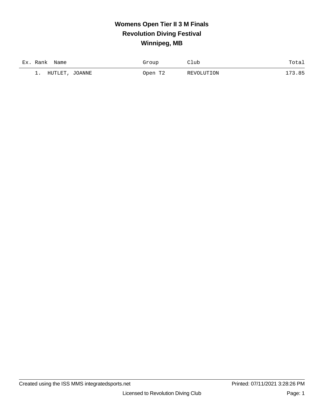# **Womens Open Tier II 3 M Finals Revolution Diving Festival Winnipeg, MB**

| Ex<br>Rank<br>Name           | Group   | ľLub       | $T \cap$ + $\supset$<br>rora+ |
|------------------------------|---------|------------|-------------------------------|
| JOANNE<br>HUTLET<br><u>ـ</u> | Jpen T2 | REVOLUTION | ີ່<br>- O L                   |